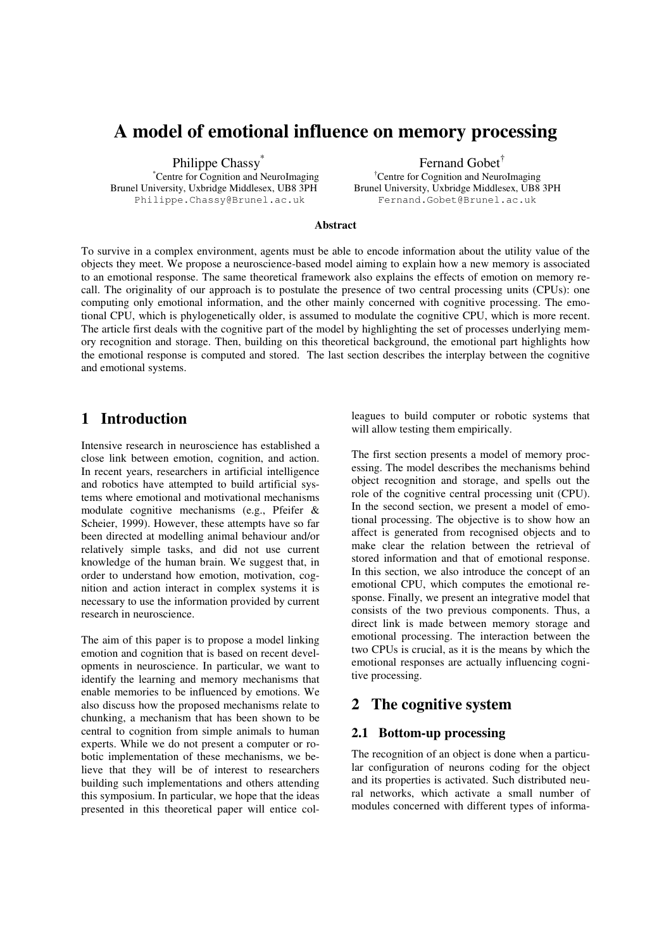# **A model of emotional influence on memory processing**

Philippe Chassy<sup>\*</sup>

\*Centre for Cognition and NeuroImaging Philippe.Chassy@Brunel.ac.uk Fernand.Gobet@Brunel.ac.uk

Fernand Gobet †

†Centre for Cognition and NeuroImaging Brunel University, Uxbridge Middlesex, UB8 3PH

#### **Abstract**

To survive in a complex environment, agents must be able to encode information about the utility value of the objects they meet. We propose a neuroscience-based model aiming to explain how a new memory is associated to an emotional response. The same theoretical framework also explains the effects of emotion on memory recall. The originality of our approach is to postulate the presence of two central processing units (CPUs): one computing only emotional information, and the other mainly concerned with cognitive processing. The emotional CPU, which is phylogenetically older, is assumed to modulate the cognitive CPU, which is more recent. The article first deals with the cognitive part of the model by highlighting the set of processes underlying memory recognition and storage. Then, building on this theoretical background, the emotional part highlights how the emotional response is computed and stored. The last section describes the interplay between the cognitive and emotional systems.

## **1 Introduction**

Intensive research in neuroscience has established a close link between emotion, cognition, and action. In recent years, researchers in artificial intelligence and robotics have attempted to build artificial systems where emotional and motivational mechanisms modulate cognitive mechanisms (e.g., Pfeifer & Scheier, 1999). However, these attempts have so far been directed at modelling animal behaviour and/or relatively simple tasks, and did not use current knowledge of the human brain. We suggest that, in order to understand how emotion, motivation, cognition and action interact in complex systems it is necessary to use the information provided by current research in neuroscience.

The aim of this paper is to propose a model linking emotion and cognition that is based on recent developments in neuroscience. In particular, we want to identify the learning and memory mechanisms that enable memories to be influenced by emotions. We also discuss how the proposed mechanisms relate to chunking, a mechanism that has been shown to be central to cognition from simple animals to human experts. While we do not present a computer or robotic implementation of these mechanisms, we believe that they will be of interest to researchers building such implementations and others attending this symposium. In particular, we hope that the ideas presented in this theoretical paper will entice colleagues to build computer or robotic systems that will allow testing them empirically.

The first section presents a model of memory processing. The model describes the mechanisms behind object recognition and storage, and spells out the role of the cognitive central processing unit (CPU). In the second section, we present a model of emotional processing. The objective is to show how an affect is generated from recognised objects and to make clear the relation between the retrieval of stored information and that of emotional response. In this section, we also introduce the concept of an emotional CPU, which computes the emotional response. Finally, we present an integrative model that consists of the two previous components. Thus, a direct link is made between memory storage and emotional processing. The interaction between the two CPUs is crucial, as it is the means by which the emotional responses are actually influencing cognitive processing.

### **2 The cognitive system**

#### **2.1 Bottom-up processing**

The recognition of an object is done when a particular configuration of neurons coding for the object and its properties is activated. Such distributed neural networks, which activate a small number of modules concerned with different types of informa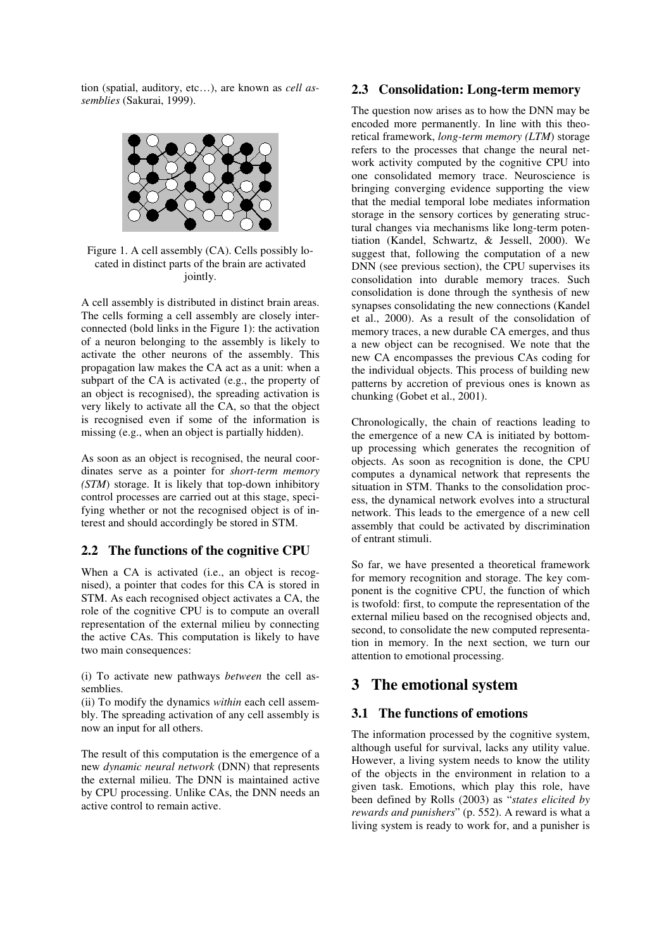tion (spatial, auditory, etc…), are known as *cell assemblies* (Sakurai, 1999).



Figure 1. A cell assembly (CA). Cells possibly located in distinct parts of the brain are activated jointly.

A cell assembly is distributed in distinct brain areas. The cells forming a cell assembly are closely interconnected (bold links in the Figure 1): the activation of a neuron belonging to the assembly is likely to activate the other neurons of the assembly. This propagation law makes the CA act as a unit: when a subpart of the CA is activated (e.g., the property of an object is recognised), the spreading activation is very likely to activate all the CA, so that the object is recognised even if some of the information is missing (e.g., when an object is partially hidden).

As soon as an object is recognised, the neural coordinates serve as a pointer for *short-term memory (STM*) storage. It is likely that top-down inhibitory control processes are carried out at this stage, specifying whether or not the recognised object is of interest and should accordingly be stored in STM.

### **2.2 The functions of the cognitive CPU**

When a CA is activated (i.e., an object is recognised), a pointer that codes for this CA is stored in STM. As each recognised object activates a CA, the role of the cognitive CPU is to compute an overall representation of the external milieu by connecting the active CAs. This computation is likely to have two main consequences:

(i) To activate new pathways *between* the cell assemblies.

(ii) To modify the dynamics *within* each cell assembly. The spreading activation of any cell assembly is now an input for all others.

The result of this computation is the emergence of a new *dynamic neural network* (DNN) that represents the external milieu. The DNN is maintained active by CPU processing. Unlike CAs, the DNN needs an active control to remain active.

#### **2.3 Consolidation: Long-term memory**

The question now arises as to how the DNN may be encoded more permanently. In line with this theoretical framework, *long-term memory (LTM*) storage refers to the processes that change the neural network activity computed by the cognitive CPU into one consolidated memory trace. Neuroscience is bringing converging evidence supporting the view that the medial temporal lobe mediates information storage in the sensory cortices by generating structural changes via mechanisms like long-term potentiation (Kandel, Schwartz, & Jessell, 2000). We suggest that, following the computation of a new DNN (see previous section), the CPU supervises its consolidation into durable memory traces. Such consolidation is done through the synthesis of new synapses consolidating the new connections (Kandel et al., 2000). As a result of the consolidation of memory traces, a new durable CA emerges, and thus a new object can be recognised. We note that the new CA encompasses the previous CAs coding for the individual objects. This process of building new patterns by accretion of previous ones is known as chunking (Gobet et al., 2001).

Chronologically, the chain of reactions leading to the emergence of a new CA is initiated by bottomup processing which generates the recognition of objects. As soon as recognition is done, the CPU computes a dynamical network that represents the situation in STM. Thanks to the consolidation process, the dynamical network evolves into a structural network. This leads to the emergence of a new cell assembly that could be activated by discrimination of entrant stimuli.

So far, we have presented a theoretical framework for memory recognition and storage. The key component is the cognitive CPU, the function of which is twofold: first, to compute the representation of the external milieu based on the recognised objects and, second, to consolidate the new computed representation in memory. In the next section, we turn our attention to emotional processing.

### **3 The emotional system**

### **3.1 The functions of emotions**

The information processed by the cognitive system, although useful for survival, lacks any utility value. However, a living system needs to know the utility of the objects in the environment in relation to a given task. Emotions, which play this role, have been defined by Rolls (2003) as "*states elicited by rewards and punishers*" (p. 552). A reward is what a living system is ready to work for, and a punisher is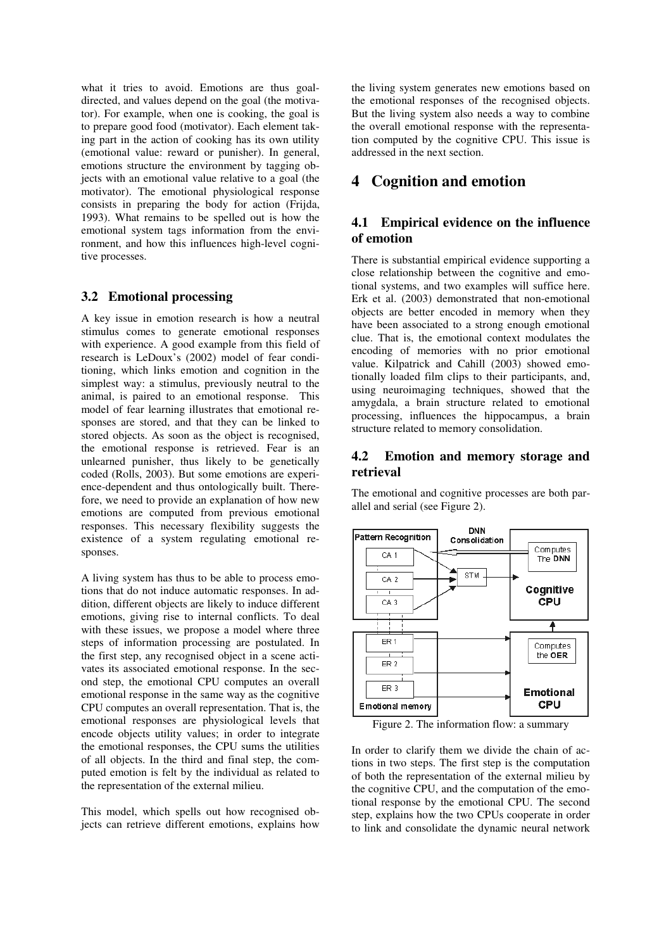what it tries to avoid. Emotions are thus goaldirected, and values depend on the goal (the motivator). For example, when one is cooking, the goal is to prepare good food (motivator). Each element taking part in the action of cooking has its own utility (emotional value: reward or punisher). In general, emotions structure the environment by tagging objects with an emotional value relative to a goal (the motivator). The emotional physiological response consists in preparing the body for action (Frijda, 1993). What remains to be spelled out is how the emotional system tags information from the environment, and how this influences high-level cognitive processes.

#### **3.2 Emotional processing**

A key issue in emotion research is how a neutral stimulus comes to generate emotional responses with experience. A good example from this field of research is LeDoux's (2002) model of fear conditioning, which links emotion and cognition in the simplest way: a stimulus, previously neutral to the animal, is paired to an emotional response. This model of fear learning illustrates that emotional responses are stored, and that they can be linked to stored objects. As soon as the object is recognised, the emotional response is retrieved. Fear is an unlearned punisher, thus likely to be genetically coded (Rolls, 2003). But some emotions are experience-dependent and thus ontologically built. Therefore, we need to provide an explanation of how new emotions are computed from previous emotional responses. This necessary flexibility suggests the existence of a system regulating emotional responses.

A living system has thus to be able to process emotions that do not induce automatic responses. In addition, different objects are likely to induce different emotions, giving rise to internal conflicts. To deal with these issues, we propose a model where three steps of information processing are postulated. In the first step, any recognised object in a scene activates its associated emotional response. In the second step, the emotional CPU computes an overall emotional response in the same way as the cognitive CPU computes an overall representation. That is, the emotional responses are physiological levels that encode objects utility values; in order to integrate the emotional responses, the CPU sums the utilities of all objects. In the third and final step, the computed emotion is felt by the individual as related to the representation of the external milieu.

This model, which spells out how recognised objects can retrieve different emotions, explains how the living system generates new emotions based on the emotional responses of the recognised objects. But the living system also needs a way to combine the overall emotional response with the representation computed by the cognitive CPU. This issue is addressed in the next section.

### **4 Cognition and emotion**

### **4.1 Empirical evidence on the influence of emotion**

There is substantial empirical evidence supporting a close relationship between the cognitive and emotional systems, and two examples will suffice here. Erk et al. (2003) demonstrated that non-emotional objects are better encoded in memory when they have been associated to a strong enough emotional clue. That is, the emotional context modulates the encoding of memories with no prior emotional value. Kilpatrick and Cahill (2003) showed emotionally loaded film clips to their participants, and, using neuroimaging techniques, showed that the amygdala, a brain structure related to emotional processing, influences the hippocampus, a brain structure related to memory consolidation.

#### **4.2 Emotion and memory storage and retrieval**

The emotional and cognitive processes are both parallel and serial (see Figure 2).



Figure 2. The information flow: a summary

In order to clarify them we divide the chain of actions in two steps. The first step is the computation of both the representation of the external milieu by the cognitive CPU, and the computation of the emotional response by the emotional CPU. The second step, explains how the two CPUs cooperate in order to link and consolidate the dynamic neural network